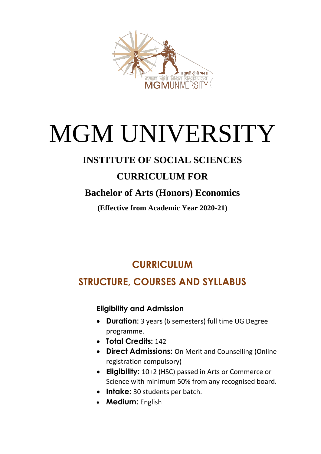

# MGM UNIVERSITY

# **INSTITUTE OF SOCIAL SCIENCES**

# **CURRICULUM FOR**

# **Bachelor of Arts (Honors) Economics**

**(Effective from Academic Year 2020-21)**

# **CURRICULUM**

# **STRUCTURE, COURSES AND SYLLABUS**

### **Eligibility and Admission**

- **Duration:** 3 years (6 semesters) full time UG Degree programme.
- **Total Credits:** 142
- **Direct Admissions:** On Merit and Counselling (Online registration compulsory)
- **Eligibility:** 10+2 (HSC) passed in Arts or Commerce or Science with minimum 50% from any recognised board.
- **Intake:** 30 students per batch.
- **Medium:** English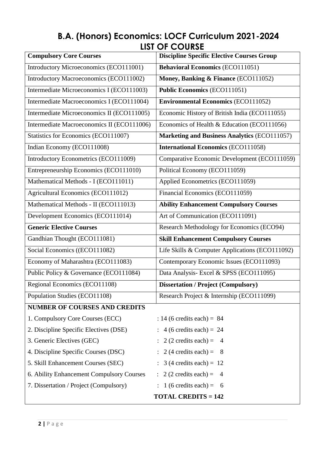# **B.A. (Honors) Economics: LOCF Curriculum 2021-2024 LIST OF COURSE**

| <b>Compulsory Core Courses</b>             | <b>Discipline Specific Elective Courses Group</b> |  |  |  |  |
|--------------------------------------------|---------------------------------------------------|--|--|--|--|
| Introductory Microeconomics (ECO111001)    | <b>Behavioral Economics (ECO111051)</b>           |  |  |  |  |
| Introductory Macroeconomics (ECO111002)    | Money, Banking & Finance (ECO111052)              |  |  |  |  |
| Intermediate Microeconomics I (ECO111003)  | <b>Public Economics (ECO111051)</b>               |  |  |  |  |
| Intermediate Macroeconomics I (ECO111004)  | <b>Environmental Economics (ECO111052)</b>        |  |  |  |  |
| Intermediate Microeconomics II (ECO111005) | Economic History of British India (ECO111055)     |  |  |  |  |
| Intermediate Macroeconomics II (ECO111006) | Economics of Health & Education (ECO111056)       |  |  |  |  |
| Statistics for Economics (ECO111007)       | Marketing and Business Analytics (ECO111057)      |  |  |  |  |
| Indian Economy (ECO111008)                 | <b>International Economics (ECO111058)</b>        |  |  |  |  |
| Introductory Econometrics (ECO111009)      | Comparative Economic Development (ECO111059)      |  |  |  |  |
| Entrepreneurship Economics (ECO111010)     | Political Economy (ECO111059)                     |  |  |  |  |
| Mathematical Methods - I (ECO111011)       | Applied Econometrics (ECO111059)                  |  |  |  |  |
| Agricultural Economics (ECO111012)         | Financial Economics (ECO111059)                   |  |  |  |  |
| Mathematical Methods - II (ECO111013)      | <b>Ability Enhancement Compulsory Courses</b>     |  |  |  |  |
| Development Economics (ECO111014)          | Art of Communication (ECO111091)                  |  |  |  |  |
| <b>Generic Elective Courses</b>            | Research Methodology for Economics (ECO94)        |  |  |  |  |
| Gandhian Thought (ECO111081)               | <b>Skill Enhancement Compulsory Courses</b>       |  |  |  |  |
| Social Economics ((ECO111082)              | Life Skills & Computer Applications (ECO111092)   |  |  |  |  |
| Economy of Maharashtra (ECO111083)         | Contemporary Economic Issues (ECO111093)          |  |  |  |  |
| Public Policy & Governance (ECO111084)     | Data Analysis- Excel & SPSS (ECO111095)           |  |  |  |  |
| Regional Economics (ECO11108)              | <b>Dissertation / Project (Compulsory)</b>        |  |  |  |  |
| Population Studies (ECO11108)              | Research Project & Internship (ECO111099)         |  |  |  |  |
| <b>NUMBER OF COURSES AND CREDITS</b>       |                                                   |  |  |  |  |
| 1. Compulsory Core Courses (ECC)           | : 14 (6 credits each) = $84$                      |  |  |  |  |
| 2. Discipline Specific Electives (DSE)     | $\therefore$ 4 (6 credits each) = 24              |  |  |  |  |
| 3. Generic Electives (GEC)                 | 2 (2 credits each) = $4$                          |  |  |  |  |
| 4. Discipline Specific Courses (DSC)       | 2 (4 credits each) = $8$                          |  |  |  |  |
| 5. Skill Enhancement Courses (SEC)         | $3(4 \text{ credits each}) = 12$                  |  |  |  |  |
| 6. Ability Enhancement Compulsory Courses  | $\therefore$ 2 (2 credits each) =<br>4            |  |  |  |  |
| 7. Dissertation / Project (Compulsory)     | $\therefore$ 1 (6 credits each) =<br>- 6          |  |  |  |  |
|                                            | <b>TOTAL CREDITS = 142</b>                        |  |  |  |  |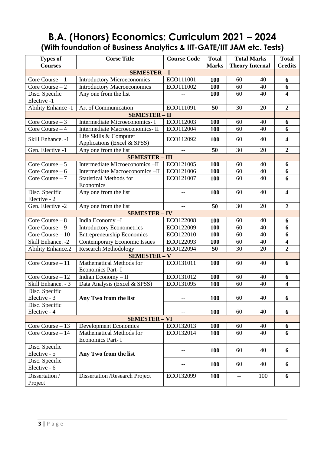# **B.A. (Honors) Economics: Curriculum 2021 – 2024 (With foundation of Business Analytics & IIT-GATE/IIT JAM etc. Tests)**

| <b>Types of</b><br><b>Courses</b> | <b>Corse Title</b>                                                    | <b>Course Code</b> | <b>Total</b><br><b>Marks</b> | <b>Total Marks</b><br><b>Theory Internal</b> | <b>Total</b><br><b>Credits</b> |                         |  |  |
|-----------------------------------|-----------------------------------------------------------------------|--------------------|------------------------------|----------------------------------------------|--------------------------------|-------------------------|--|--|
|                                   | <b>SEMESTER-I</b>                                                     |                    |                              |                                              |                                |                         |  |  |
| Core Course $-1$                  | <b>Introductory Microeconomics</b>                                    | ECO111001          | 100                          | 60                                           | 40                             | 6                       |  |  |
| Core Course $-2$                  | <b>Introductory Macroeconomics</b>                                    | ECO111002          | 100                          | 60                                           | 40                             | $\boldsymbol{6}$        |  |  |
| Disc. Specific                    | Any one from the list                                                 |                    | 100                          | 60                                           | 40                             | $\overline{\mathbf{4}}$ |  |  |
| Elective -1                       |                                                                       |                    |                              |                                              |                                |                         |  |  |
| <b>Ability Enhance -1</b>         | Art of Communication                                                  | ECO111091          | 50                           | 30                                           | 20                             | $\boldsymbol{2}$        |  |  |
| <b>SEMESTER - II</b>              |                                                                       |                    |                              |                                              |                                |                         |  |  |
| Core Course $-3$                  | Intermediate Microeconomics- I                                        | ECO112003          | <b>100</b>                   | 60                                           | 40                             | 6                       |  |  |
| Core Course $-4$                  | Intermediate Macroeconomics-II                                        | ECO112004          | 100                          | 60                                           | 40                             | 6                       |  |  |
|                                   | Life Skills & Computer                                                |                    |                              |                                              |                                |                         |  |  |
| Skill Enhance. -1                 | Applications (Excel & SPSS)                                           | ECO112092          | 100                          | 60                                           | 40                             | $\overline{\mathbf{4}}$ |  |  |
| Gen. Elective -1                  | Any one from the list                                                 |                    | 50                           | 30                                           | 20                             | $\boldsymbol{2}$        |  |  |
| <b>SEMESTER-III</b>               |                                                                       |                    |                              |                                              |                                |                         |  |  |
| Core Course $-5$                  | Intermediate Microeconomics-II<br>ECO121005<br>40<br><b>100</b><br>60 |                    |                              |                                              |                                |                         |  |  |
| Core Course $-6$                  | Intermediate Macroeconomics-II                                        | ECO121006          | 100                          | 60                                           | 40                             | 6<br>6                  |  |  |
| Core Course $-7$                  | <b>Statistical Methods for</b>                                        | ECO121007          | 100<br>60                    |                                              |                                | 6                       |  |  |
|                                   | Economics                                                             |                    |                              |                                              |                                |                         |  |  |
| Disc. Specific                    | Any one from the list                                                 |                    | 100                          | 60                                           | 40                             | $\overline{\mathbf{4}}$ |  |  |
| Elective - 2                      |                                                                       |                    |                              |                                              |                                |                         |  |  |
| Gen. Elective -2                  | Any one from the list                                                 | $-$                | 50                           | 30                                           | 20                             | $\overline{2}$          |  |  |
|                                   | <b>SEMESTER - IV</b>                                                  |                    |                              |                                              |                                |                         |  |  |
| Core Course $-8$                  | India Economy-I                                                       | ECO122008          | 100                          | 60                                           | 40                             | 6                       |  |  |
| Core Course $-9$                  | <b>Introductory Econometrics</b>                                      | ECO122009          | 100                          | 60                                           | 40                             | 6                       |  |  |
| Core Course $-10$                 | <b>Entrepreneurship Economics</b>                                     | ECO122010          | 100                          | 60                                           | 40                             | 6                       |  |  |
| Skill Enhance. - 2                | <b>Contemporary Economic Issues</b>                                   | ECO122093          | 100                          | 60                                           | 40                             | $\overline{\mathbf{4}}$ |  |  |
| <b>Ability Enhance.2</b>          | <b>Research Methodology</b>                                           | ECO122094          | 50                           | 30                                           | 20                             | $\overline{2}$          |  |  |
| <b>SEMESTER - V</b>               |                                                                       |                    |                              |                                              |                                |                         |  |  |
| Core Course - 11                  | Mathematical Methods for                                              | ECO131011          | 100                          | 60                                           | 40                             | 6                       |  |  |
|                                   | Economics Part-I                                                      |                    |                              |                                              |                                |                         |  |  |
| Core Course $-12$                 | Indian Economy - II                                                   | ECO131012          | 100                          | 60                                           | 40                             | 6                       |  |  |
| Skill Enhance. - 3                | Data Analysis (Excel & SPSS)                                          | ECO131095          | 100                          | 60                                           | 40                             | $\overline{\mathbf{4}}$ |  |  |
| Disc. Specific                    |                                                                       |                    |                              |                                              |                                |                         |  |  |
| Elective - 3                      | Any Two from the list                                                 | $\qquad \qquad -$  | 100                          | 60                                           | 40                             | 6                       |  |  |
| Disc. Specific                    |                                                                       |                    |                              |                                              |                                |                         |  |  |
| Elective - 4                      |                                                                       |                    | <b>100</b>                   | 60                                           | 40                             | 6                       |  |  |
|                                   | <b>SEMESTER - VI</b>                                                  |                    |                              |                                              |                                |                         |  |  |
| Core Course $-13$                 | <b>Development Economics</b>                                          | ECO132013          | <b>100</b>                   | 60                                           | 40                             | 6                       |  |  |
| Core Course $-14$                 | Mathematical Methods for                                              | ECO132014          | 100                          | 60                                           | 40                             | 6                       |  |  |
|                                   | Economics Part-I                                                      |                    |                              |                                              |                                |                         |  |  |
| Disc. Specific                    |                                                                       |                    | 100                          | 60                                           | 40                             | 6                       |  |  |
| Elective - 5                      | Any Two from the list                                                 |                    |                              |                                              |                                |                         |  |  |
| Disc. Specific                    |                                                                       |                    | <b>100</b>                   | 60                                           | 40                             | 6                       |  |  |
| Elective - 6                      |                                                                       |                    |                              |                                              |                                |                         |  |  |
| Dissertation /                    | <b>Dissertation /Research Project</b>                                 | ECO132099          | <b>100</b>                   | $- \, -$                                     | 100                            | 6                       |  |  |
| Project                           |                                                                       |                    |                              |                                              |                                |                         |  |  |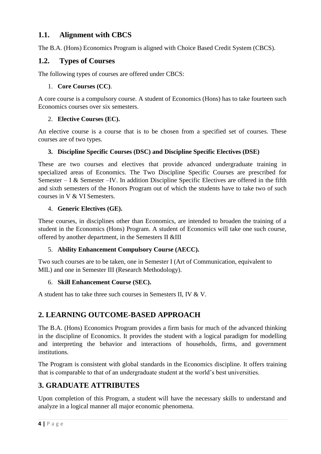### **1.1. Alignment with CBCS**

The B.A. (Hons) Economics Program is aligned with Choice Based Credit System (CBCS).

#### **1.2. Types of Courses**

The following types of courses are offered under CBCS:

#### 1. **Core Courses (CC)**.

A core course is a compulsory course. A student of Economics (Hons) has to take fourteen such Economics courses over six semesters.

#### 2. **Elective Courses (EC).**

An elective course is a course that is to be chosen from a specified set of courses. These courses are of two types.

#### **3. Discipline Specific Courses (DSC) and Discipline Specific Electives (DSE)**

These are two courses and electives that provide advanced undergraduate training in specialized areas of Economics. The Two Discipline Specific Courses are prescribed for Semester – I & Semester –IV. In addition Discipline Specific Electives are offered in the fifth and sixth semesters of the Honors Program out of which the students have to take two of such courses in V & VI Semesters.

#### 4. **Generic Electives (GE).**

These courses, in disciplines other than Economics, are intended to broaden the training of a student in the Economics (Hons) Program. A student of Economics will take one such course, offered by another department, in the Semesters II &III

#### 5. **Ability Enhancement Compulsory Course (AECC).**

Two such courses are to be taken, one in Semester I (Art of Communication, equivalent to MIL) and one in Semester III (Research Methodology).

#### 6. **Skill Enhancement Course (SEC).**

A student has to take three such courses in Semesters II, IV & V.

### **2. LEARNING OUTCOME-BASED APPROACH**

The B.A. (Hons) Economics Program provides a firm basis for much of the advanced thinking in the discipline of Economics. It provides the student with a logical paradigm for modelling and interpreting the behavior and interactions of households, firms, and government institutions.

The Program is consistent with global standards in the Economics discipline. It offers training that is comparable to that of an undergraduate student at the world's best universities.

### **3. GRADUATE ATTRIBUTES**

Upon completion of this Program, a student will have the necessary skills to understand and analyze in a logical manner all major economic phenomena.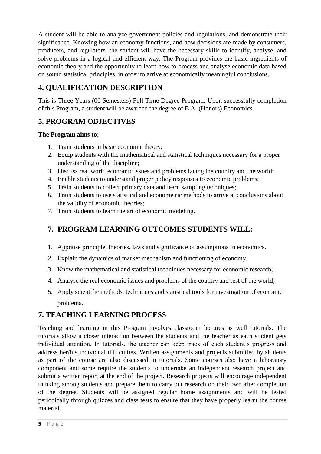A student will be able to analyze government policies and regulations, and demonstrate their significance. Knowing how an economy functions, and how decisions are made by consumers, producers, and regulators, the student will have the necessary skills to identify, analyse, and solve problems in a logical and efficient way. The Program provides the basic ingredients of economic theory and the opportunity to learn how to process and analyse economic data based on sound statistical principles, in order to arrive at economically meaningful conclusions.

### **4. QUALIFICATION DESCRIPTION**

This is Three Years (06 Semesters) Full Time Degree Program. Upon successfully completion of this Program, a student will be awarded the degree of B.A. (Honors) Economics.

### **5. PROGRAM OBJECTIVES**

#### **The Program aims to:**

- 1. Train students in basic economic theory;
- 2. Equip students with the mathematical and statistical techniques necessary for a proper understanding of the discipline;
- 3. Discuss real world economic issues and problems facing the country and the world;
- 4. Enable students to understand proper policy responses to economic problems;
- 5. Train students to collect primary data and learn sampling techniques;
- 6. Train students to use statistical and econometric methods to arrive at conclusions about the validity of economic theories;
- 7. Train students to learn the art of economic modeling.

### **7. PROGRAM LEARNING OUTCOMES STUDENTS WILL:**

- 1. Appraise principle, theories, laws and significance of assumptions in economics.
- 2. Explain the dynamics of market mechanism and functioning of economy.
- 3. Know the mathematical and statistical techniques necessary for economic research;
- 4. Analyse the real economic issues and problems of the country and rest of the world;
- 5. Apply scientific methods, techniques and statistical tools for investigation of economic problems.

### **7. TEACHING LEARNING PROCESS**

Teaching and learning in this Program involves classroom lectures as well tutorials. The tutorials allow a closer interaction between the students and the teacher as each student gets individual attention. In tutorials, the teacher can keep track of each student's progress and address her/his individual difficulties. Written assignments and projects submitted by students as part of the course are also discussed in tutorials. Some courses also have a laboratory component and some require the students to undertake an independent research project and submit a written report at the end of the project. Research projects will encourage independent thinking among students and prepare them to carry out research on their own after completion of the degree. Students will be assigned regular home assignments and will be tested periodically through quizzes and class tests to ensure that they have properly learnt the course material.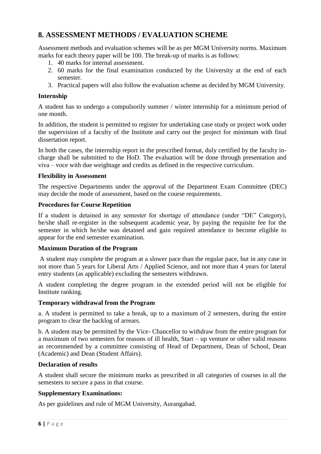### **8. ASSESSMENT METHODS / EVALUATION SCHEME**

Assessment methods and evaluation schemes will be as per MGM University norms. Maximum marks for each theory paper will be 100. The break-up of marks is as follows:

- 1. 40 marks for internal assessment.
- 2. 60 marks for the final examination conducted by the University at the end of each semester.
- 3. Practical papers will also follow the evaluation scheme as decided by MGM University.

#### **Internship**

A student has to undergo a compulsorily summer / winter internship for a minimum period of one month.

In addition, the student is permitted to register for undertaking case study or project work under the supervision of a faculty of the Institute and carry out the project for minimum with final dissertation report.

In both the cases, the internship report in the prescribed format, duly certified by the faculty incharge shall be submitted to the HoD. The evaluation will be done through presentation and viva – voce with due weightage and credits as defined in the respective curriculum.

#### **Flexibility in Assessment**

The respective Departments under the approval of the Department Exam Committee (DEC) may decide the mode of assessment, based on the course requirements.

#### **Procedures for Course Repetition**

If a student is detained in any semester for shortage of attendance (under "DE" Category), he/she shall re-register in the subsequent academic year, by paying the requisite fee for the semester in which he/she was detained and gain required attendance to become eligible to appear for the end semester examination.

#### **Maximum Duration of the Program**

A student may complete the program at a slower pace than the regular pace, but in any case in not more than 5 years for Liberal Arts / Applied Science, and not more than 4 years for lateral entry students (as applicable) excluding the semesters withdrawn.

A student completing the degree program in the extended period will not be eligible for Institute ranking.

#### **Temporary withdrawal from the Program**

a. A student is permitted to take a break, up to a maximum of 2 semesters, during the entire program to clear the backlog of arrears.

b. A student may be permitted by the Vice- Chancellor to withdraw from the entire program for a maximum of two semesters for reasons of ill health, Start – up venture or other valid reasons as recommended by a committee consisting of Head of Department, Dean of School, Dean (Academic) and Dean (Student Affairs).

#### **Declaration of results**

A student shall secure the minimum marks as prescribed in all categories of courses in all the semesters to secure a pass in that course.

#### **Supplementary Examinations:**

As per guidelines and rule of MGM University, Aurangabad.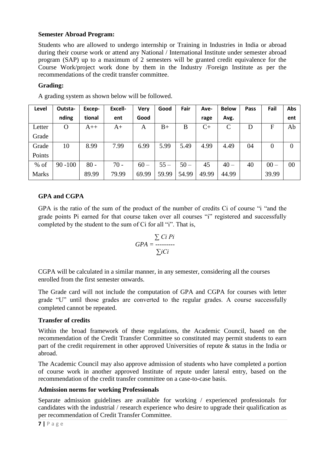#### **Semester Abroad Program:**

Students who are allowed to undergo internship or Training in Industries in India or abroad during their course work or attend any National / International Institute under semester abroad program (SAP) up to a maximum of 2 semesters will be granted credit equivalence for the Course Work/project work done by them in the Industry /Foreign Institute as per the recommendations of the credit transfer committee.

#### **Grading:**

| Level        | Outsta-    | Excep- | Excell- | <b>Very</b> | Good   | Fair   | Ave-  | <b>Below</b>  | Pass | Fail           | Abs |
|--------------|------------|--------|---------|-------------|--------|--------|-------|---------------|------|----------------|-----|
|              | nding      | tional | ent     | Good        |        |        | rage  | Avg.          |      |                | ent |
| Letter       | O          | $A++$  | A+      | A           | $B+$   | B      | $C+$  | $\mathcal{C}$ | D    | F              | Ab  |
| Grade        |            |        |         |             |        |        |       |               |      |                |     |
| Grade        | 10         | 8.99   | 7.99    | 6.99        | 5.99   | 5.49   | 4.99  | 4.49          | 04   | $\overline{0}$ | 0   |
| Points       |            |        |         |             |        |        |       |               |      |                |     |
| $%$ of       | $90 - 100$ | $80 -$ | $70 -$  | $60 -$      | $55 -$ | $50 -$ | 45    | $40 -$        | 40   | $00 -$         | 00  |
| <b>Marks</b> |            | 89.99  | 79.99   | 69.99       | 59.99  | 54.99  | 49.99 | 44.99         |      | 39.99          |     |

A grading system as shown below will be followed.

#### **GPA and CGPA**

GPA is the ratio of the sum of the product of the number of credits Ci of course "i "and the grade points Pi earned for that course taken over all courses "i" registered and successfully completed by the student to the sum of Ci for all "i". That is,

$$
GPA = \frac{\sum Ci Pi}{\sum i Ci}
$$

CGPA will be calculated in a similar manner, in any semester, considering all the courses enrolled from the first semester onwards.

The Grade card will not include the computation of GPA and CGPA for courses with letter grade "U" until those grades are converted to the regular grades. A course successfully completed cannot be repeated.

#### **Transfer of credits**

Within the broad framework of these regulations, the Academic Council, based on the recommendation of the Credit Transfer Committee so constituted may permit students to earn part of the credit requirement in other approved Universities of repute & status in the India or abroad.

The Academic Council may also approve admission of students who have completed a portion of course work in another approved Institute of repute under lateral entry, based on the recommendation of the credit transfer committee on a case-to-case basis.

#### **Admission norms for working Professionals**

Separate admission guidelines are available for working / experienced professionals for candidates with the industrial / research experience who desire to upgrade their qualification as per recommendation of Credit Transfer Committee.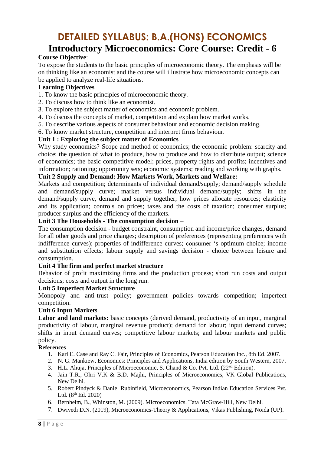# **DETAILED SYLLABUS: B.A.(HONS) ECONOMICS Introductory Microeconomics: Core Course: Credit - 6**

#### **Course Objective**:

To expose the students to the basic principles of microeconomic theory. The emphasis will be on thinking like an economist and the course will illustrate how microeconomic concepts can be applied to analyze real-life situations.

#### **Learning Objectives**

- 1. To know the basic principles of microeconomic theory.
- 2. To discuss how to think like an economist.
- 3. To explore the subject matter of economics and economic problem.
- 4. To discuss the concepts of market, competition and explain how market works.
- 5. To describe various aspects of consumer behaviour and economic decision making.
- 6. To know market structure, competition and interpret firms behaviour.

#### **Unit 1 : Exploring the subject matter of Economics**

Why study economics? Scope and method of economics; the economic problem: scarcity and choice; the question of what to produce, how to produce and how to distribute output; science of economics; the basic competitive model; prices, property rights and profits; incentives and information; rationing; opportunity sets; economic systems; reading and working with graphs.

#### **Unit 2 Supply and Demand: How Markets Work, Markets and Welfare:**

Markets and competition; determinants of individual demand/supply; demand/supply schedule and demand/supply curve; market versus individual demand/supply; shifts in the demand/supply curve, demand and supply together; how prices allocate resources; elasticity and its application; controls on prices; taxes and the costs of taxation; consumer surplus; producer surplus and the efficiency of the markets.

#### **Unit 3 The Households - The consumption decision** –

The consumption decision - budget constraint, consumption and income/price changes, demand for all other goods and price changes; description of preferences (representing preferences with indifference curves); properties of indifference curves; consumer 's optimum choice; income and substitution effects; labour supply and savings decision - choice between leisure and consumption.

#### **Unit 4 The firm and perfect market structure**

Behavior of profit maximizing firms and the production process; short run costs and output decisions; costs and output in the long run.

#### **Unit 5 Imperfect Market Structure**

Monopoly and anti-trust policy; government policies towards competition; imperfect competition.

#### **Unit 6 Input Markets**

Labor and land markets: basic concepts (derived demand, productivity of an input, marginal productivity of labour, marginal revenue product); demand for labour; input demand curves; shifts in input demand curves; competitive labour markets; and labour markets and public policy.

- 1. Karl E. Case and Ray C. Fair, Principles of Economics, Pearson Education Inc., 8th Ed. 2007.
- 2. N. G. Mankiew, Economics: Principles and Applications, India edition by South Western, 2007.
- 3. H.L. Ahuja, Principles of Microeconomic, S. Chand & Co. Pvt. Ltd.  $(22<sup>nd</sup> Edition)$ .
- 4. Jain T.R., Ohri V.K & B.D. Majhi, Principles of Microeconomics, VK Global Publications, New Delhi.
- 5. Robert Pindyck & Daniel Rubinfield, Microeconomics, Pearson Indian Education Services Pvt. Ltd.  $(8^{th}$  Ed. 2020)
- 6. Bernheim, B., Whinston, M. (2009). Microeconomics. Tata McGraw-Hill, New Delhi.
- 7. Dwivedi D.N. (2019), Microeconomics-Theory & Applications, Vikas Publishing, Noida (UP).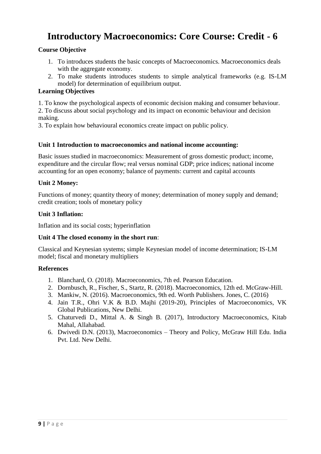# **Introductory Macroeconomics: Core Course: Credit - 6**

#### **Course Objective**

- 1. To introduces students the basic concepts of Macroeconomics. Macroeconomics deals with the aggregate economy.
- 2. To make students introduces students to simple analytical frameworks (e.g. IS-LM model) for determination of equilibrium output.

#### **Learning Objectives**

1. To know the psychological aspects of economic decision making and consumer behaviour.

2. To discuss about social psychology and its impact on economic behaviour and decision making.

3. To explain how behavioural economics create impact on public policy.

#### **Unit 1 Introduction to macroeconomics and national income accounting:**

Basic issues studied in macroeconomics: Measurement of gross domestic product; income, expenditure and the circular flow; real versus nominal GDP; price indices; national income accounting for an open economy; balance of payments: current and capital accounts

#### **Unit 2 Money:**

Functions of money; quantity theory of money; determination of money supply and demand; credit creation; tools of monetary policy

#### **Unit 3 Inflation:**

Inflation and its social costs; hyperinflation

#### **Unit 4 The closed economy in the short run**:

Classical and Keynesian systems; simple Keynesian model of income determination; IS-LM model; fiscal and monetary multipliers

- 1. Blanchard, O. (2018). Macroeconomics, 7th ed. Pearson Education.
- 2. Dornbusch, R., Fischer, S., Startz, R. (2018). Macroeconomics, 12th ed. McGraw-Hill.
- 3. Mankiw, N. (2016). Macroeconomics, 9th ed. Worth Publishers. Jones, C. (2016)
- 4. Jain T.R., Ohri V.K & B.D. Majhi (2019-20), Principles of Macroeconomics, VK Global Publications, New Delhi.
- 5. Chaturvedi D., Mittal A. & Singh B. (2017), Introductory Macroeconomics, Kitab Mahal, Allahabad.
- 6. Dwivedi D.N. (2013), Macroeconomics Theory and Policy, McGraw Hill Edu. India Pvt. Ltd. New Delhi.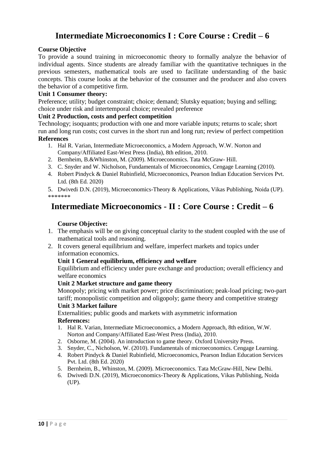## **Intermediate Microeconomics I : Core Course : Credit – 6**

#### **Course Objective**

To provide a sound training in microeconomic theory to formally analyze the behavior of individual agents. Since students are already familiar with the quantitative techniques in the previous semesters, mathematical tools are used to facilitate understanding of the basic concepts. This course looks at the behavior of the consumer and the producer and also covers the behavior of a competitive firm.

#### **Unit 1 Consumer theory:**

Preference; utility; budget constraint; choice; demand; Slutsky equation; buying and selling; choice under risk and intertemporal choice; revealed preference

#### **Unit 2 Production, costs and perfect competition**

Technology; isoquants; production with one and more variable inputs; returns to scale; short run and long run costs; cost curves in the short run and long run; review of perfect competition **References** 

- 1. Hal R. Varian, Intermediate Microeconomics, a Modern Approach, W.W. Norton and Company/Affiliated East-West Press (India), 8th edition, 2010.
- 2. Bernheim, B.&Whinston, M. (2009). Microeconomics. Tata McGraw- Hill.
- 3. C. Snyder and W. Nicholson, Fundamentals of Microeconomics, Cengage Learning (2010).
- 4. Robert Pindyck & Daniel Rubinfield, Microeconomics, Pearson Indian Education Services Pvt. Ltd. (8th Ed. 2020)

5. Dwivedi D.N. (2019), Microeconomics-Theory & Applications, Vikas Publishing, Noida (UP). \*\*\*\*\*\*\*

### **Intermediate Microeconomics - II : Core Course : Credit – 6**

#### **Course Objective:**

- 1. The emphasis will be on giving conceptual clarity to the student coupled with the use of mathematical tools and reasoning.
- 2. It covers general equilibrium and welfare, imperfect markets and topics under information economics.

#### **Unit 1 General equilibrium, efficiency and welfare**

Equilibrium and efficiency under pure exchange and production; overall efficiency and welfare economics

#### **Unit 2 Market structure and game theory**

Monopoly; pricing with market power; price discrimination; peak-load pricing; two-part tariff; monopolistic competition and oligopoly; game theory and competitive strategy

#### **Unit 3 Market failure**

Externalities; public goods and markets with asymmetric information **References:**

- 1. Hal R. Varian, Intermediate Microeconomics, a Modern Approach, 8th edition, W.W. Norton and Company/Affiliated East-West Press (India), 2010.
- 2. Osborne, M. (2004). An introduction to game theory. Oxford University Press.
- 3. Snyder, C., Nicholson, W. (2010). Fundamentals of microeconomics. Cengage Learning.
- 4. Robert Pindyck & Daniel Rubinfield, Microeconomics, Pearson Indian Education Services Pvt. Ltd. (8th Ed. 2020)
- 5. Bernheim, B., Whinston, M. (2009). Microeconomics. Tata McGraw-Hill, New Delhi.
- 6. Dwivedi D.N. (2019), Microeconomics-Theory & Applications, Vikas Publishing, Noida (UP).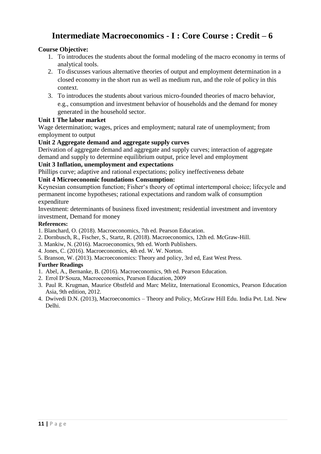# **Intermediate Macroeconomics - I : Core Course : Credit – 6**

#### **Course Objective:**

- 1. To introduces the students about the formal modeling of the macro economy in terms of analytical tools.
- 2. To discusses various alternative theories of output and employment determination in a closed economy in the short run as well as medium run, and the role of policy in this context.
- 3. To introduces the students about various micro-founded theories of macro behavior, e.g., consumption and investment behavior of households and the demand for money generated in the household sector.

#### **Unit 1 The labor market**

Wage determination; wages, prices and employment; natural rate of unemployment; from employment to output

#### **Unit 2 Aggregate demand and aggregate supply curves**

Derivation of aggregate demand and aggregate and supply curves; interaction of aggregate demand and supply to determine equilibrium output, price level and employment

#### **Unit 3 Inflation, unemployment and expectations**

Phillips curve; adaptive and rational expectations; policy ineffectiveness debate

#### **Unit 4 Microeconomic foundations Consumption:**

Keynesian consumption function; Fisher's theory of optimal intertemporal choice; lifecycle and permanent income hypotheses; rational expectations and random walk of consumption expenditure

Investment: determinants of business fixed investment; residential investment and inventory investment, Demand for money

#### **References:**

- 1. Blanchard, O. (2018). Macroeconomics, 7th ed. Pearson Education.
- 2. Dornbusch, R., Fischer, S., Startz, R. (2018). Macroeconomics, 12th ed. McGraw-Hill.
- 3. Mankiw, N. (2016). Macroeconomics, 9th ed. Worth Publishers.
- 4. Jones, C. (2016). Macroeconomics, 4th ed. W. W. Norton.
- 5. Branson, W. (2013). Macroeconomics: Theory and policy, 3rd ed, East West Press.

#### **Further Readings**

- 1. Abel, A., Bernanke, B. (2016). Macroeconomics, 9th ed. Pearson Education.
- 2. Errol D'Souza, Macroeconomics, Pearson Education, 2009
- 3. Paul R. Krugman, Maurice Obstfeld and Marc Melitz, International Economics, Pearson Education Asia, 9th edition, 2012.
- 4. Dwivedi D.N. (2013), Macroeconomics Theory and Policy, McGraw Hill Edu. India Pvt. Ltd. New Delhi.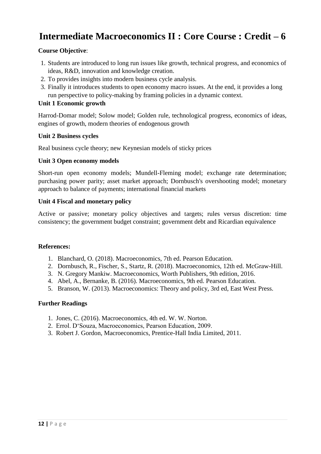# **Intermediate Macroeconomics II : Core Course : Credit – 6**

#### **Course Objective**:

- 1. Students are introduced to long run issues like growth, technical progress, and economics of ideas, R&D, innovation and knowledge creation.
- 2. To provides insights into modern business cycle analysis.
- 3. Finally it introduces students to open economy macro issues. At the end, it provides a long run perspective to policy-making by framing policies in a dynamic context.

#### **Unit 1 Economic growth**

Harrod-Domar model; Solow model; Golden rule, technological progress, economics of ideas, engines of growth, modern theories of endogenous growth

#### **Unit 2 Business cycles**

Real business cycle theory; new Keynesian models of sticky prices

#### **Unit 3 Open economy models**

Short-run open economy models; Mundell-Fleming model; exchange rate determination; purchasing power parity; asset market approach; Dornbusch's overshooting model; monetary approach to balance of payments; international financial markets

#### **Unit 4 Fiscal and monetary policy**

Active or passive; monetary policy objectives and targets; rules versus discretion: time consistency; the government budget constraint; government debt and Ricardian equivalence

#### **References:**

- 1. Blanchard, O. (2018). Macroeconomics, 7th ed. Pearson Education.
- 2. Dornbusch, R., Fischer, S., Startz, R. (2018). Macroeconomics, 12th ed. McGraw-Hill.
- 3. N. Gregory Mankiw. Macroeconomics, Worth Publishers, 9th edition, 2016.
- 4. Abel, A., Bernanke, B. (2016). Macroeconomics, 9th ed. Pearson Education.
- 5. Branson, W. (2013). Macroeconomics: Theory and policy, 3rd ed, East West Press.

#### **Further Readings**

- 1. Jones, C. (2016). Macroeconomics, 4th ed. W. W. Norton.
- 2. Errol. D'Souza, Macroeconomics, Pearson Education, 2009.
- 3. Robert J. Gordon, Macroeconomics, Prentice-Hall India Limited, 2011.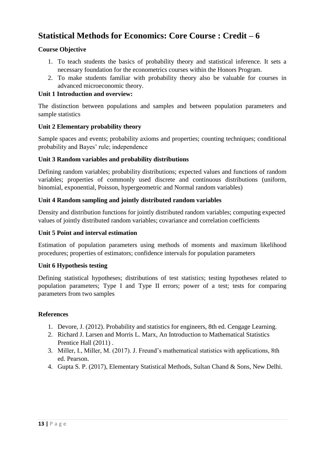# **Statistical Methods for Economics: Core Course : Credit – 6**

#### **Course Objective**

- 1. To teach students the basics of probability theory and statistical inference. It sets a necessary foundation for the econometrics courses within the Honors Program.
- 2. To make students familiar with probability theory also be valuable for courses in advanced microeconomic theory.

#### **Unit 1 Introduction and overview:**

The distinction between populations and samples and between population parameters and sample statistics

#### **Unit 2 Elementary probability theory**

Sample spaces and events; probability axioms and properties; counting techniques; conditional probability and Bayes' rule; independence

#### **Unit 3 Random variables and probability distributions**

Defining random variables; probability distributions; expected values and functions of random variables; properties of commonly used discrete and continuous distributions (uniform, binomial, exponential, Poisson, hypergeometric and Normal random variables)

#### **Unit 4 Random sampling and jointly distributed random variables**

Density and distribution functions for jointly distributed random variables; computing expected values of jointly distributed random variables; covariance and correlation coefficients

#### **Unit 5 Point and interval estimation**

Estimation of population parameters using methods of moments and maximum likelihood procedures; properties of estimators; confidence intervals for population parameters

#### **Unit 6 Hypothesis testing**

Defining statistical hypotheses; distributions of test statistics; testing hypotheses related to population parameters; Type I and Type II errors; power of a test; tests for comparing parameters from two samples

- 1. Devore, J. (2012). Probability and statistics for engineers, 8th ed. Cengage Learning.
- 2. Richard J. Larsen and Morris L. Marx, An Introduction to Mathematical Statistics Prentice Hall (2011) .
- 3. Miller, I., Miller, M. (2017). J. Freund's mathematical statistics with applications, 8th ed. Pearson.
- 4. Gupta S. P. (2017), Elementary Statistical Methods, Sultan Chand & Sons, New Delhi.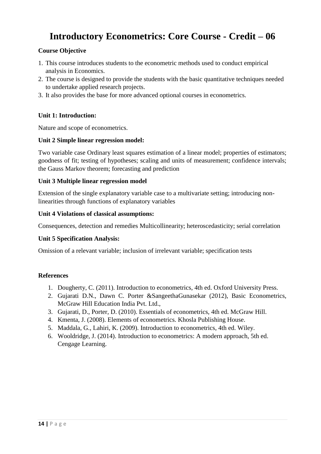# **Introductory Econometrics: Core Course - Credit – 06**

#### **Course Objective**

- 1. This course introduces students to the econometric methods used to conduct empirical analysis in Economics.
- 2. The course is designed to provide the students with the basic quantitative techniques needed to undertake applied research projects.
- 3. It also provides the base for more advanced optional courses in econometrics.

#### **Unit 1: Introduction:**

Nature and scope of econometrics.

#### **Unit 2 Simple linear regression model:**

Two variable case Ordinary least squares estimation of a linear model; properties of estimators; goodness of fit; testing of hypotheses; scaling and units of measurement; confidence intervals; the Gauss Markov theorem; forecasting and prediction

#### **Unit 3 Multiple linear regression model**

Extension of the single explanatory variable case to a multivariate setting; introducing nonlinearities through functions of explanatory variables

#### **Unit 4 Violations of classical assumptions:**

Consequences, detection and remedies Multicollinearity; heteroscedasticity; serial correlation

#### **Unit 5 Specification Analysis:**

Omission of a relevant variable; inclusion of irrelevant variable; specification tests

- 1. Dougherty, C. (2011). Introduction to econometrics, 4th ed. Oxford University Press.
- 2. Gujarati D.N., Dawn C. Porter &SangeethaGunasekar (2012), Basic Econometrics, McGraw Hill Education India Pvt. Ltd.,
- 3. Gujarati, D., Porter, D. (2010). Essentials of econometrics, 4th ed. McGraw Hill.
- 4. Kmenta, J. (2008). Elements of econometrics. Khosla Publishing House.
- 5. Maddala, G., Lahiri, K. (2009). Introduction to econometrics, 4th ed. Wiley.
- 6. Wooldridge, J. (2014). Introduction to econometrics: A modern approach, 5th ed. Cengage Learning.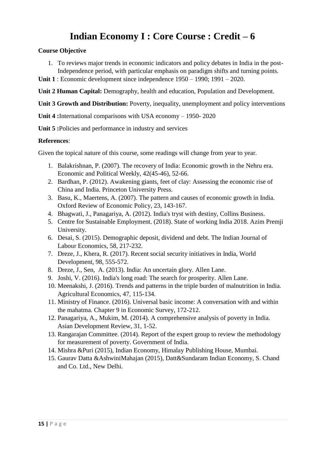# **Indian Economy I : Core Course : Credit – 6**

#### **Course Objective**

- 1. To reviews major trends in economic indicators and policy debates in India in the post-Independence period, with particular emphasis on paradigm shifts and turning points.
- **Unit 1** : Economic development since independence 1950 1990; 1991 2020.

**Unit 2 Human Capital:** Demography, health and education, Population and Development.

**Unit 3 Growth and Distribution:** Poverty, inequality, unemployment and policy interventions

**Unit 4 :**International comparisons with USA economy – 1950- 2020

**Unit 5 :**Policies and performance in industry and services

#### **References**:

Given the topical nature of this course, some readings will change from year to year.

- 1. Balakrishnan, P. (2007). The recovery of India: Economic growth in the Nehru era. Economic and Political Weekly, 42(45-46), 52-66.
- 2. Bardhan, P. (2012). Awakening giants, feet of clay: Assessing the economic rise of China and India. Princeton University Press.
- 3. Basu, K., Maertens, A. (2007). The pattern and causes of economic growth in India. Oxford Review of Economic Policy, 23, 143-167.
- 4. Bhagwati, J., Panagariya, A. (2012). India's tryst with destiny, Collins Business.
- 5. Centre for Sustainable Employment. (2018). State of working India 2018. Azim Premji University.
- 6. Desai, S. (2015). Demographic deposit, dividend and debt. The Indian Journal of Labour Economics, 58, 217-232.
- 7. Dreze, J., Khera, R. (2017). Recent social security initiatives in India, World Development, 98, 555-572.
- 8. Dreze, J., Sen, A. (2013). India: An uncertain glory. Allen Lane.
- 9. Joshi, V. (2016). India's long road: The search for prosperity. Allen Lane.
- 10. Meenakshi, J. (2016). Trends and patterns in the triple burden of malnutrition in India. Agricultural Economics, 47, 115-134.
- 11. Ministry of Finance. (2016). Universal basic income: A conversation with and within the mahatma. Chapter 9 in Economic Survey, 172-212.
- 12. Panagariya, A., Mukim, M. (2014). A comprehensive analysis of poverty in India. Asian Development Review, 31, 1-52.
- 13. Rangarajan Committee. (2014). Report of the expert group to review the methodology for measurement of poverty. Government of India.
- 14. Mishra &Puri (2015), Indian Economy, Himalay Publishing House, Mumbai.
- 15. Gaurav Datta &AshwiniMahajan (2015), Datt&Sundaram Indian Economy, S. Chand and Co. Ltd., New Delhi.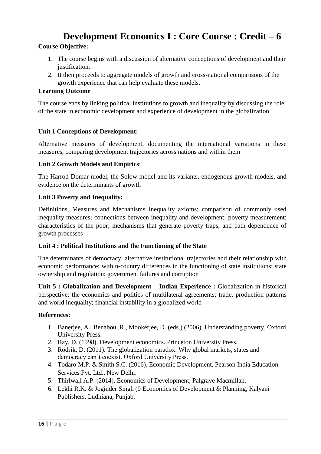# **Development Economics I : Core Course : Credit – 6**

#### **Course Objective:**

- 1. The course begins with a discussion of alternative conceptions of development and their justification.
- 2. It then proceeds to aggregate models of growth and cross-national comparisons of the growth experience that can help evaluate these models.

#### **Learning Outcome**

The course ends by linking political institutions to growth and inequality by discussing the role of the state in economic development and experience of development in the globalization.

#### **Unit 1 Conceptions of Development:**

Alternative measures of development, documenting the international variations in these measures, comparing development trajectories across nations and within them

#### **Unit 2 Growth Models and Empirics**:

The Harrod-Domar model, the Solow model and its variants, endogenous growth models, and evidence on the determinants of growth

#### **Unit 3 Poverty and Inequality:**

Definitions, Measures and Mechanisms Inequality axioms; comparison of commonly used inequality measures; connections between inequality and development; poverty measurement; characteristics of the poor; mechanisms that generate poverty traps, and path dependence of growth processes

#### **Unit 4 : Political Institutions and the Functioning of the State**

The determinants of democracy; alternative institutional trajectories and their relationship with economic performance; within-country differences in the functioning of state institutions; state ownership and regulation; government failures and corruption

**Unit 5 : Globalization and Development – Indian Experience :** Globalization in historical perspective; the economics and politics of multilateral agreements; trade, production patterns and world inequality; financial instability in a globalized world

- 1. Banerjee, A., Benabou, R., Mookerjee, D. (eds.) (2006). Understanding poverty. Oxford University Press.
- 2. Ray, D. (1998). Development economics. Princeton University Press.
- 3. Rodrik, D. (2011). The globalization paradox: Why global markets, states and democracy can't coexist. Oxford University Press.
- 4. Todaro M.P. & Smith S.C. (2016), Economic Development, Pearson India Education Services Pvt. Ltd., New Delhi.
- 5. Thirlwall A.P. (2014), Economics of Development, Palgrave Macmillan.
- 6. Lekhi R.K. & Joginder Singh (0 Economics of Development & Planning, Kalyani Publishers, Ludhiana, Punjab.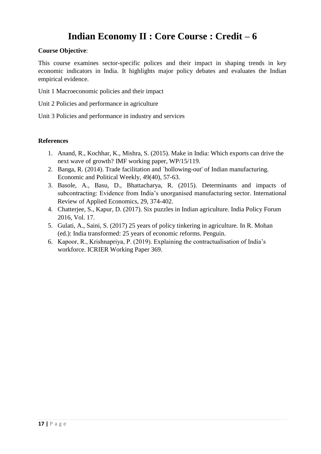# **Indian Economy II : Core Course : Credit – 6**

#### **Course Objective**:

This course examines sector-specific polices and their impact in shaping trends in key economic indicators in India. It highlights major policy debates and evaluates the Indian empirical evidence.

Unit 1 Macroeconomic policies and their impact

Unit 2 Policies and performance in agriculture

Unit 3 Policies and performance in industry and services

- 1. Anand, R., Kochhar, K., Mishra, S. (2015). Make in India: Which exports can drive the next wave of growth? IMF working paper, WP/15/119.
- 2. Banga, R. (2014). Trade facilitation and `hollowing-out' of Indian manufacturing. Economic and Political Weekly, 49(40), 57-63.
- 3. Basole, A., Basu, D., Bhattacharya, R. (2015). Determinants and impacts of subcontracting: Evidence from India's unorganised manufacturing sector. International Review of Applied Economics, 29, 374-402.
- 4. Chatterjee, S., Kapur, D. (2017). Six puzzles in Indian agriculture. India Policy Forum 2016, Vol. 17.
- 5. Gulati, A., Saini, S. (2017) 25 years of policy tinkering in agriculture. In R. Mohan (ed.): India transformed: 25 years of economic reforms. Penguin.
- 6. Kapoor, R., Krishnapriya, P. (2019). Explaining the contractualisation of India's workforce. ICRIER Working Paper 369.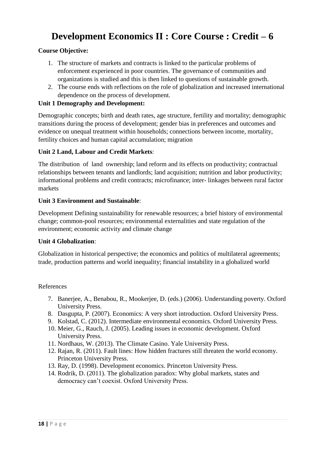# **Development Economics II : Core Course : Credit – 6**

#### **Course Objective:**

- 1. The structure of markets and contracts is linked to the particular problems of enforcement experienced in poor countries. The governance of communities and organizations is studied and this is then linked to questions of sustainable growth.
- 2. The course ends with reflections on the role of globalization and increased international dependence on the process of development.

#### **Unit 1 Demography and Development:**

Demographic concepts; birth and death rates, age structure, fertility and mortality; demographic transitions during the process of development; gender bias in preferences and outcomes and evidence on unequal treatment within households; connections between income, mortality, fertility choices and human capital accumulation; migration

#### **Unit 2 Land, Labour and Credit Markets**:

The distribution of land ownership; land reform and its effects on productivity; contractual relationships between tenants and landlords; land acquisition; nutrition and labor productivity; informational problems and credit contracts; microfinance; inter- linkages between rural factor markets

#### **Unit 3 Environment and Sustainable**:

Development Defining sustainability for renewable resources; a brief history of environmental change; common-pool resources; environmental externalities and state regulation of the environment; economic activity and climate change

#### **Unit 4 Globalization**:

Globalization in historical perspective; the economics and politics of multilateral agreements; trade, production patterns and world inequality; financial instability in a globalized world

- 7. Banerjee, A., Benabou, R., Mookerjee, D. (eds.) (2006). Understanding poverty. Oxford University Press.
- 8. Dasgupta, P. (2007). Economics: A very short introduction. Oxford University Press.
- 9. Kolstad, C. (2012). Intermediate environmental economics. Oxford University Press.
- 10. Meier, G., Rauch, J. (2005). Leading issues in economic development. Oxford University Press.
- 11. Nordhaus, W. (2013). The Climate Casino. Yale University Press.
- 12. Rajan, R. (2011). Fault lines: How hidden fractures still threaten the world economy. Princeton University Press.
- 13. Ray, D. (1998). Development economics. Princeton University Press.
- 14. Rodrik, D. (2011). The globalization paradox: Why global markets, states and democracy can't coexist. Oxford University Press.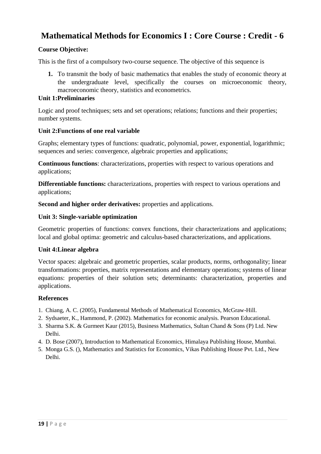## **Mathematical Methods for Economics I : Core Course : Credit - 6**

#### **Course Objective:**

This is the first of a compulsory two-course sequence. The objective of this sequence is

**1.** To transmit the body of basic mathematics that enables the study of economic theory at the undergraduate level, specifically the courses on microeconomic theory, macroeconomic theory, statistics and econometrics.

#### **Unit 1:Preliminaries**

Logic and proof techniques; sets and set operations; relations; functions and their properties; number systems.

#### **Unit 2:Functions of one real variable**

Graphs; elementary types of functions: quadratic, polynomial, power, exponential, logarithmic; sequences and series: convergence, algebraic properties and applications;

**Continuous functions**: characterizations, properties with respect to various operations and applications;

**Differentiable functions:** characterizations, properties with respect to various operations and applications;

**Second and higher order derivatives:** properties and applications.

#### **Unit 3: Single-variable optimization**

Geometric properties of functions: convex functions, their characterizations and applications; local and global optima: geometric and calculus-based characterizations, and applications.

#### **Unit 4:Linear algebra**

Vector spaces: algebraic and geometric properties, scalar products, norms, orthogonality; linear transformations: properties, matrix representations and elementary operations; systems of linear equations: properties of their solution sets; determinants: characterization, properties and applications.

- 1. Chiang, A. C. (2005), Fundamental Methods of Mathematical Economics, McGraw-Hill.
- 2. Sydsaeter, K., Hammond, P. (2002). Mathematics for economic analysis. Pearson Educational.
- 3. Sharma S.K. & Gurmeet Kaur (2015), Business Mathematics, Sultan Chand & Sons (P) Ltd. New Delhi.
- 4. D. Bose (2007), Introduction to Mathematical Economics, Himalaya Publishing House, Mumbai.
- 5. Monga G.S. (), Mathematics and Statistics for Economics, Vikas Publishing House Pvt. Ltd., New Delhi.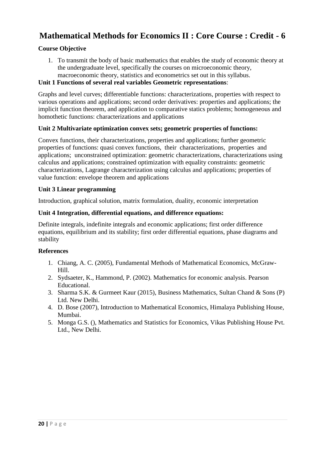# **Mathematical Methods for Economics II : Core Course : Credit - 6**

#### **Course Objective**

1. To transmit the body of basic mathematics that enables the study of economic theory at the undergraduate level, specifically the courses on microeconomic theory, macroeconomic theory, statistics and econometrics set out in this syllabus.

#### **Unit 1 Functions of several real variables Geometric representations**:

Graphs and level curves; differentiable functions: characterizations, properties with respect to various operations and applications; second order derivatives: properties and applications; the implicit function theorem, and application to comparative statics problems; homogeneous and homothetic functions: characterizations and applications

#### **Unit 2 Multivariate optimization convex sets; geometric properties of functions:**

Convex functions, their characterizations, properties and applications; further geometric properties of functions: quasi convex functions, their characterizations, properties and applications; unconstrained optimization: geometric characterizations, characterizations using calculus and applications; constrained optimization with equality constraints: geometric characterizations, Lagrange characterization using calculus and applications; properties of value function: envelope theorem and applications

#### **Unit 3 Linear programming**

Introduction, graphical solution, matrix formulation, duality, economic interpretation

#### **Unit 4 Integration, differential equations, and difference equations:**

Definite integrals, indefinite integrals and economic applications; first order difference equations, equilibrium and its stability; first order differential equations, phase diagrams and stability

- 1. Chiang, A. C. (2005), Fundamental Methods of Mathematical Economics, McGraw-Hill.
- 2. Sydsaeter, K., Hammond, P. (2002). Mathematics for economic analysis. Pearson Educational.
- 3. Sharma S.K. & Gurmeet Kaur (2015), Business Mathematics, Sultan Chand & Sons (P) Ltd. New Delhi.
- 4. D. Bose (2007), Introduction to Mathematical Economics, Himalaya Publishing House, Mumbai.
- 5. Monga G.S. (), Mathematics and Statistics for Economics, Vikas Publishing House Pvt. Ltd., New Delhi.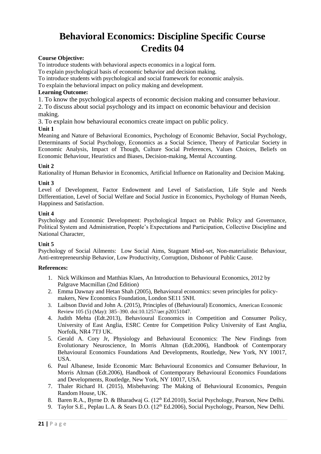# **Behavioral Economics: Discipline Specific Course Credits 04**

#### **Course Objective:**

To introduce students with behavioral aspects economics in a logical form.

To explain psychological basis of economic behavior and decision making.

To introduce students with psychological and social framework for economic analysis.

To explain the behavioral impact on policy making and development.

#### **Learning Outcome:**

1. To know the psychological aspects of economic decision making and consumer behaviour.

2. To discuss about social psychology and its impact on economic behaviour and decision

#### making.

3. To explain how behavioural economics create impact on public policy.

#### **Unit 1**

Meaning and Nature of Behavioral Economics, Psychology of Economic Behavior, Social Psychology, Determinants of Social Psychology, Economics as a Social Science, Theory of Particular Society in Economic Analysis, Impact of Though, Culture Social Preferences, Values Choices, Beliefs on Economic Behaviour, Heuristics and Biases, Decision-making, Mental Accounting.

#### **Unit 2**

Rationality of Human Behavior in Economics, Artificial Influence on Rationality and Decision Making.

#### **Unit 3**

Level of Development, Factor Endowment and Level of Satisfaction, Life Style and Needs Differentiation, Level of Social Welfare and Social Justice in Economics, Psychology of Human Needs, Happiness and Satisfaction.

#### **Unit 4**

Psychology and Economic Development: Psychological Impact on Public Policy and Governance, Political System and Administration, People's Expectations and Participation, Collective Discipline and National Character,

#### **Unit 5**

Psychology of Social Ailments: Low Social Aims, Stagnant Mind-set, Non-materialistic Behaviour, Anti-entrepreneurship Behavior, Low Productivity, Corruption, Dishonor of Public Cause.

- 1. Nick Wilkinson and Matthias Klaes, An Introduction to Behavioural Economics, 2012 by Palgrave Macmillan (2nd Edition)
- 2. Emma Dawnay and Hetan Shah (2005), Behavioural economics: seven principles for policymakers, New Economics Foundation, London SE11 5NH.
- 3. Laibson David and John A. (2015), Principles of (Behavioural) Economics, American Economic Review 105 (5) (May): 385–390. doi:10.1257/aer.p20151047.
- 4. Judith Mehta (Edt.2013), Behavioural Economics in Competition and Consumer Policy, University of East Anglia, ESRC Centre for Competition Policy University of East Anglia, Norfolk, NR4 7TJ UK.
- 5. Gerald A. Cory Jr, Physiology and Behavioural Economics: The New Findings from Evolutionary Neuroscience, In Morris Altman (Edt.2006), Handbook of Contemporary Behavioural Economics Foundations And Developments, Routledge, New York, NY 10017, USA.
- 6. Paul Albanese, Inside Economic Man: Behavioural Economics and Consumer Behaviour, In Morris Altman (Edt.2006), Handbook of Contemporary Behavioural Economics Foundations and Developments, Routledge, New York, NY 10017, USA.
- 7. Thaler Richard H. (2015), Misbehaving: The Making of Behavioural Economics, Penguin Random House, UK.
- 8. Baren R.A., Byrne D. & Bharadwaj G. (12<sup>th</sup> Ed.2010), Social Psychology, Pearson, New Delhi.
- 9. Taylor S.E., Peplau L.A. & Sears D.O. (12<sup>th</sup> Ed.2006), Social Psychology, Pearson, New Delhi.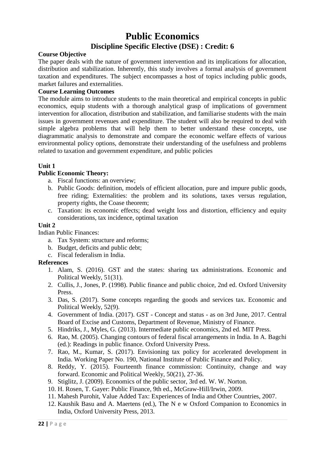# **Public Economics Discipline Specific Elective (DSE) : Credit: 6**

#### **Course Objective**

The paper deals with the nature of government intervention and its implications for allocation, distribution and stabilization. Inherently, this study involves a formal analysis of government taxation and expenditures. The subject encompasses a host of topics including public goods, market failures and externalities.

#### **Course Learning Outcomes**

The module aims to introduce students to the main theoretical and empirical concepts in public economics, equip students with a thorough analytical grasp of implications of government intervention for allocation, distribution and stabilization, and familiarise students with the main issues in government revenues and expenditure. The student will also be required to deal with simple algebra problems that will help them to better understand these concepts, use diagrammatic analysis to demonstrate and compare the economic welfare effects of various environmental policy options, demonstrate their understanding of the usefulness and problems related to taxation and government expenditure, and public policies

#### **Unit 1**

#### **Public Economic Theory:**

- a. Fiscal functions: an overview;
- b. Public Goods: definition, models of efficient allocation, pure and impure public goods, free riding; Externalities: the problem and its solutions, taxes versus regulation, property rights, the Coase theorem;
- c. Taxation: its economic effects; dead weight loss and distortion, efficiency and equity considerations, tax incidence, optimal taxation

#### **Unit 2**

Indian Public Finances:

- a. Tax System: structure and reforms;
- b. Budget, deficits and public debt;
- c. Fiscal federalism in India.

- 1. Alam, S. (2016). GST and the states: sharing tax administrations. Economic and Political Weekly, 51(31).
- 2. Cullis, J., Jones, P. (1998). Public finance and public choice, 2nd ed. Oxford University Press.
- 3. Das, S. (2017). Some concepts regarding the goods and services tax. Economic and Political Weekly, 52(9).
- 4. Government of India. (2017). GST Concept and status as on 3rd June, 2017. Central Board of Excise and Customs, Department of Revenue, Ministry of Finance.
- 5. Hindriks, J., Myles, G. (2013). Intermediate public economics, 2nd ed. MIT Press.
- 6. Rao, M. (2005). Changing contours of federal fiscal arrangements in India. In A. Bagchi (ed.): Readings in public finance. Oxford University Press.
- 7. Rao, M., Kumar, S. (2017). Envisioning tax policy for accelerated development in India. Working Paper No. 190, National Institute of Public Finance and Policy.
- 8. Reddy, Y. (2015). Fourteenth finance commission: Continuity, change and way forward. Economic and Political Weekly, 50(21), 27-36.
- 9. Stiglitz, J. (2009). Economics of the public sector, 3rd ed. W. W. Norton.
- 10. H. Rosen, T. Gayer: Public Finance, 9th ed., McGraw-Hill/Irwin, 2009.
- 11. Mahesh Purohit, Value Added Tax: Experiences of India and Other Countries, 2007.
- 12. Kaushik Basu and A. Maertens (ed.), The N e w Oxford Companion to Economics in India, Oxford University Press, 2013.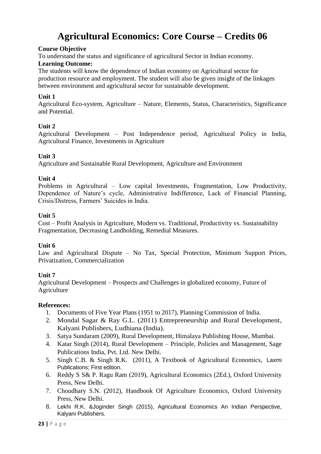# **Agricultural Economics: Core Course – Credits 06**

#### **Course Objective**

To understand the status and significance of agricultural Sector in Indian economy.

#### **Learning Outcome:**

The students will know the dependence of Indian economy on Agricultural sector for production resource and employment. The student will also be given insight of the linkages between environment and agricultural sector for sustainable development.

#### **Unit 1**

Agricultural Eco-system, Agriculture – Nature, Elements, Status, Characteristics, Significance and Potential.

#### **Unit 2**

Agricultural Development – Post Independence period, Agricultural Policy in India, Agricultural Finance, Investments in Agriculture

#### **Unit 3**

Agriculture and Sustainable Rural Development, Agriculture and Environment

#### **Unit 4**

Problems in Agricultural – Low capital Investments, Fragmentation, Low Productivity, Dependence of Nature's cycle, Administrative Indifference, Lack of Financial Planning, Crisis/Distress, Farmers' Suicides in India.

#### **Unit 5**

Cost – Profit Analysis in Agriculture, Modern vs. Traditional, Productivity vs. Sustainability Fragmentation, Decreasing Landholding, Remedial Measures.

#### **Unit 6**

Law and Agricultural Dispute – No Tax, Special Protection, Minimum Support Prices, Privatization, Commercialization

#### **Unit 7**

Agricultural Development – Prospects and Challenges in globalized economy, Future of Agriculture

- 1. Documents of Five Year Plans (1951 to 2017), Planning Commission of India.
- 2. Mondal Sagar & Ray G.L. (2011) Entrepreneurship and Rural Development, Kalyani Publishers, Ludhiana (India).
- 3. Satya Sundaram (2009), Rural Development, Himalaya Publishing House, Mumbai.
- 4. Katar Singh (2014), Rural Development Principle, Policies and Management, Sage Publications India, Pvt. Ltd. New Delhi.
- 5. Singh C.B. & Singh R.K. (2011), A Textbook of Agricultural Economics, Laxmi Publications; First edition.
- 6. Reddy S S& P. Ragu Ram (2019), Agricultural Economics (2Ed.), Oxford University Press, New Delhi.
- 7. Choudhary S.N. (2012), Handbook Of Agriculture Economics, Oxford University Press, New Delhi.
- 8. Lekhi R.K. &Joginder Singh (2015), Agricultural Economics An Indian Perspective, Kalyani Publishers.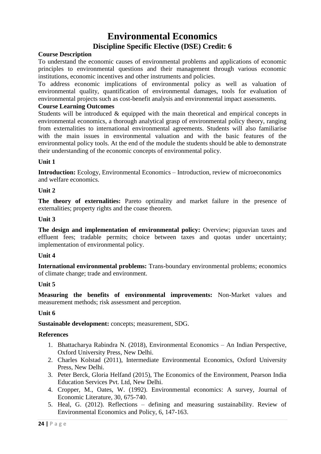# **Environmental Economics**

### **Discipline Specific Elective (DSE) Credit: 6**

#### **Course Description**

To understand the economic causes of environmental problems and applications of economic principles to environmental questions and their management through various economic institutions, economic incentives and other instruments and policies.

To address economic implications of environmental policy as well as valuation of environmental quality, quantification of environmental damages, tools for evaluation of environmental projects such as cost-benefit analysis and environmental impact assessments.

#### **Course Learning Outcomes**

Students will be introduced & equipped with the main theoretical and empirical concepts in environmental economics, a thorough analytical grasp of environmental policy theory, ranging from externalities to international environmental agreements. Students will also familiarise with the main issues in environmental valuation and with the basic features of the environmental policy tools. At the end of the module the students should be able to demonstrate their understanding of the economic concepts of environmental policy.

#### **Unit 1**

**Introduction:** Ecology, Environmental Economics – Introduction, review of microeconomics and welfare economics.

#### **Unit 2**

**The theory of externalities:** Pareto optimality and market failure in the presence of externalities; property rights and the coase theorem.

#### **Unit 3**

**The design and implementation of environmental policy:** Overview; pigouvian taxes and effluent fees; tradable permits; choice between taxes and quotas under uncertainty; implementation of environmental policy.

#### **Unit 4**

**International environmental problems:** Trans-boundary environmental problems; economics of climate change; trade and environment.

#### **Unit 5**

**Measuring the benefits of environmental improvements:** Non-Market values and measurement methods; risk assessment and perception.

#### **Unit 6**

**Sustainable development:** concepts; measurement, SDG.

- 1. Bhattacharya Rabindra N. (2018), Environmental Economics An Indian Perspective, Oxford University Press, New Delhi.
- 2. Charles Kolstad (2011), Intermediate Environmental Economics, Oxford University Press, New Delhi.
- 3. Peter Berck, Gloria Helfand (2015), The Economics of the Environment, Pearson India Education Services Pvt. Ltd, New Delhi.
- 4. Cropper, M., Oates, W. (1992). Environmental economics: A survey, Journal of Economic Literature, 30, 675-740.
- 5. Heal, G. (2012). Reflections defining and measuring sustainability. Review of Environmental Economics and Policy, 6, 147-163.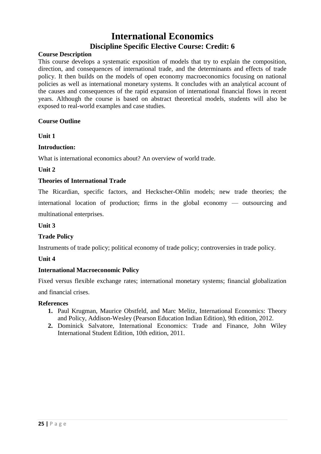# **International Economics**

#### **Discipline Specific Elective Course: Credit: 6**

#### **Course Description**

This course develops a systematic exposition of models that try to explain the composition, direction, and consequences of international trade, and the determinants and effects of trade policy. It then builds on the models of open economy macroeconomics focusing on national policies as well as international monetary systems. It concludes with an analytical account of the causes and consequences of the rapid expansion of international financial flows in recent years. Although the course is based on abstract theoretical models, students will also be exposed to real-world examples and case studies.

#### **Course Outline**

#### **Unit 1**

#### **Introduction:**

What is international economics about? An overview of world trade.

#### **Unit 2**

#### **Theories of International Trade**

The Ricardian, specific factors, and Heckscher-Ohlin models; new trade theories; the international location of production; firms in the global economy — outsourcing and multinational enterprises.

#### **Unit 3**

#### **Trade Policy**

Instruments of trade policy; political economy of trade policy; controversies in trade policy.

#### **Unit 4**

#### **International Macroeconomic Policy**

Fixed versus flexible exchange rates; international monetary systems; financial globalization

and financial crises.

- **1.** Paul Krugman, Maurice Obstfeld, and Marc Melitz, International Economics: Theory and Policy, Addison-Wesley (Pearson Education Indian Edition), 9th edition, 2012.
- **2.** Dominick Salvatore, International Economics: Trade and Finance, John Wiley International Student Edition, 10th edition, 2011.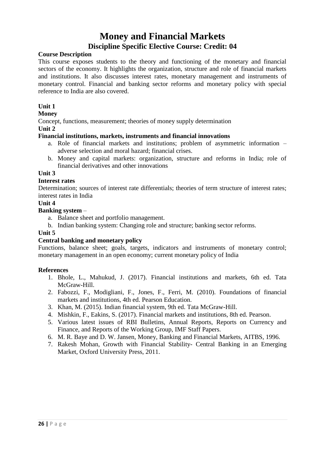# **Money and Financial Markets**

#### **Discipline Specific Elective Course: Credit: 04**

#### **Course Description**

This course exposes students to the theory and functioning of the monetary and financial sectors of the economy. It highlights the organization, structure and role of financial markets and institutions. It also discusses interest rates, monetary management and instruments of monetary control. Financial and banking sector reforms and monetary policy with special reference to India are also covered.

#### **Unit 1**

#### **Money**

Concept, functions, measurement; theories of money supply determination

**Unit 2**

#### **Financial institutions, markets, instruments and financial innovations**

- a. Role of financial markets and institutions; problem of asymmetric information adverse selection and moral hazard; financial crises.
- b. Money and capital markets: organization, structure and reforms in India; role of financial derivatives and other innovations

**Unit 3**

#### **Interest rates**

Determination; sources of interest rate differentials; theories of term structure of interest rates; interest rates in India

#### **Unit 4**

#### **Banking system** –

- a. Balance sheet and portfolio management.
- b. Indian banking system: Changing role and structure; banking sector reforms.

#### **Unit 5**

#### **Central banking and monetary policy**

Functions, balance sheet; goals, targets, indicators and instruments of monetary control; monetary management in an open economy; current monetary policy of India

- 1. Bhole, L., Mahukud, J. (2017). Financial institutions and markets, 6th ed. Tata McGraw-Hill.
- 2. Fabozzi, F., Modigliani, F., Jones, F., Ferri, M. (2010). Foundations of financial markets and institutions, 4th ed. Pearson Education.
- 3. Khan, M. (2015). Indian financial system, 9th ed. Tata McGraw-Hill.
- 4. Mishkin, F., Eakins, S. (2017). Financial markets and institutions, 8th ed. Pearson.
- 5. Various latest issues of RBI Bulletins, Annual Reports, Reports on Currency and Finance, and Reports of the Working Group, IMF Staff Papers.
- 6. M. R. Baye and D. W. Jansen, Money, Banking and Financial Markets, AITBS, 1996.
- 7. Rakesh Mohan, Growth with Financial Stability- Central Banking in an Emerging Market, Oxford University Press, 2011.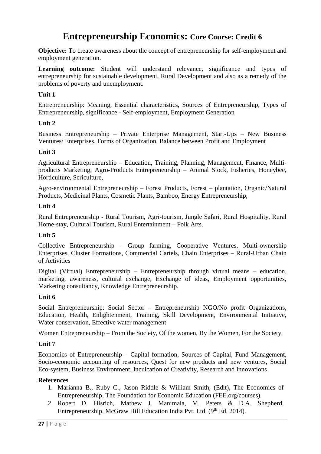# **Entrepreneurship Economics: Core Course: Credit 6**

**Objective:** To create awareness about the concept of entrepreneurship for self-employment and employment generation.

**Learning outcome:** Student will understand relevance, significance and types of entrepreneurship for sustainable development, Rural Development and also as a remedy of the problems of poverty and unemployment.

#### **Unit 1**

Entrepreneurship: Meaning, Essential characteristics, Sources of Entrepreneurship, Types of Entrepreneurship, significance - Self-employment, Employment Generation

#### **Unit 2**

Business Entrepreneurship – Private Enterprise Management, Start-Ups – New Business Ventures/ Enterprises, Forms of Organization, Balance between Profit and Employment

#### **Unit 3**

Agricultural Entrepreneurship – Education, Training, Planning, Management, Finance, Multiproducts Marketing, Agro-Products Entrepreneurship – Animal Stock, Fisheries, Honeybee, Horticulture, Sericulture,

Agro-environmental Entrepreneurship – Forest Products, Forest – plantation, Organic/Natural Products, Medicinal Plants, Cosmetic Plants, Bamboo, Energy Entrepreneurship,

#### **Unit 4**

Rural Entrepreneurship - Rural Tourism, Agri-tourism, Jungle Safari, Rural Hospitality, Rural Home-stay, Cultural Tourism, Rural Entertainment – Folk Arts.

#### **Unit 5**

Collective Entrepreneurship – Group farming, Cooperative Ventures, Multi-ownership Enterprises, Cluster Formations, Commercial Cartels, Chain Enterprises – Rural-Urban Chain of Activities

Digital (Virtual) Entrepreneurship – Entrepreneurship through virtual means – education, marketing, awareness, cultural exchange, Exchange of ideas, Employment opportunities, Marketing consultancy, Knowledge Entrepreneurship.

#### **Unit 6**

Social Entrepreneurship: Social Sector – Entrepreneurship NGO/No profit Organizations, Education, Health, Enlightenment, Training, Skill Development, Environmental Initiative, Water conservation, Effective water management

Women Entrepreneurship – From the Society, Of the women, By the Women, For the Society.

#### **Unit 7**

Economics of Entrepreneurship – Capital formation, Sources of Capital, Fund Management, Socio-economic accounting of resources, Quest for new products and new ventures, Social Eco-system, Business Environment, Inculcation of Creativity, Research and Innovations

- 1. Marianna B., Ruby C., Jason Riddle & William Smith, (Edit), The Economics of Entrepreneurship, The Foundation for Economic Education (FEE.org/courses).
- 2. Robert D. Hisrich, Mathew J. Manimala, M. Peters & D.A. Shepherd, Entrepreneurship, McGraw Hill Education India Pvt. Ltd. (9<sup>th</sup> Ed, 2014).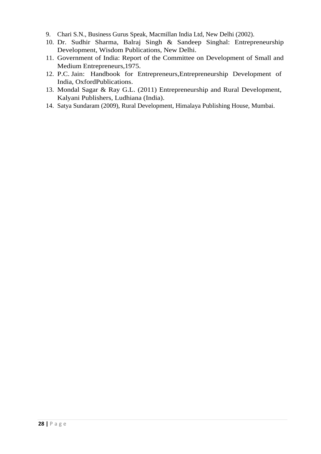- 9. Chari S.N., Business Gurus Speak, Macmillan India Ltd, New Delhi (2002).
- 10. Dr. Sudhir Sharma, Balraj Singh & Sandeep Singhal: Entrepreneurship Development, Wisdom Publications, New Delhi.
- 11. Government of India: Report of the Committee on Development of Small and Medium Entrepreneurs,1975.
- 12. P.C. Jain: Handbook for Entrepreneurs,Entrepreneurship Development of India, OxfordPublications.
- 13. Mondal Sagar & Ray G.L. (2011) Entrepreneurship and Rural Development, Kalyani Publishers, Ludhiana (India).
- 14. Satya Sundaram (2009), Rural Development, Himalaya Publishing House, Mumbai.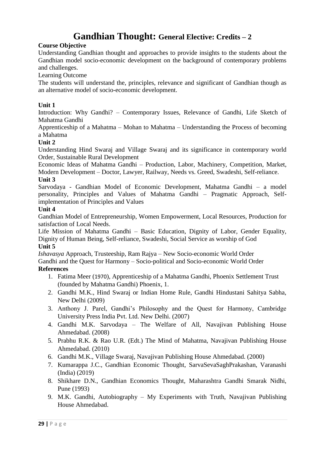# **Gandhian Thought: General Elective: Credits – 2**

#### **Course Objective**

Understanding Gandhian thought and approaches to provide insights to the students about the Gandhian model socio-economic development on the background of contemporary problems and challenges.

Learning Outcome

The students will understand the, principles, relevance and significant of Gandhian though as an alternative model of socio-economic development.

#### **Unit 1**

Introduction: Why Gandhi? – Contemporary Issues, Relevance of Gandhi, Life Sketch of Mahatma Gandhi

Apprenticeship of a Mahatma – Mohan to Mahatma – Understanding the Process of becoming a Mahatma

#### **Unit 2**

Understanding Hind Swaraj and Village Swaraj and its significance in contemporary world Order, Sustainable Rural Development

Economic Ideas of Mahatma Gandhi – Production, Labor, Machinery, Competition, Market, Modern Development – Doctor, Lawyer, Railway, Needs vs. Greed, Swadeshi, Self-reliance. **Unit 3**

Sarvodaya - Gandhian Model of Economic Development, Mahatma Gandhi – a model personality, Principles and Values of Mahatma Gandhi – Pragmatic Approach, Selfimplementation of Principles and Values

#### **Unit 4**

Gandhian Model of Entrepreneurship, Women Empowerment, Local Resources, Production for satisfaction of Local Needs.

Life Mission of Mahatma Gandhi – Basic Education, Dignity of Labor, Gender Equality, Dignity of Human Being, Self-reliance, Swadeshi, Social Service as worship of God **Unit 5**

*Ishavasya* Approach, Trusteeship, Ram Rajya – New Socio-economic World Order Gandhi and the Quest for Harmony – Socio-political and Socio-economic World Order **References**

- 1. Fatima Meer (1970), Apprenticeship of a Mahatma Gandhi, Phoenix Settlement Trust (founded by Mahatma Gandhi) Phoenix, 1.
- 2. Gandhi M.K., Hind Swaraj or Indian Home Rule, Gandhi Hindustani Sahitya Sabha, New Delhi (2009)
- 3. Anthony J. Parel, Gandhi's Philosophy and the Quest for Harmony, Cambridge University Press India Pvt. Ltd. New Delhi. (2007)
- 4. Gandhi M.K. Sarvodaya The Welfare of All, Navajivan Publishing House Ahmedabad. (2008)
- 5. Prabhu R.K. & Rao U.R. (Edt.) The Mind of Mahatma, Navajivan Publishing House Ahmedabad. (2010)
- 6. Gandhi M.K., Village Swaraj, Navajivan Publishing House Ahmedabad. (2000)
- 7. Kumarappa J.C., Gandhian Economic Thought, SarvaSevaSaghPrakashan, Varanashi (India) (2019)
- 8. Shikhare D.N., Gandhian Economics Thought, Maharashtra Gandhi Smarak Nidhi, Pune (1993)
- 9. M.K. Gandhi, Autobiography My Experiments with Truth, Navajivan Publishing House Ahmedabad.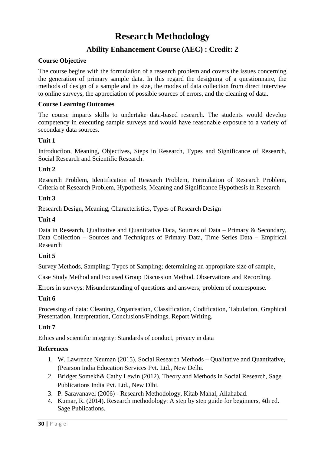# **Research Methodology**

### **Ability Enhancement Course (AEC) : Credit: 2**

#### **Course Objective**

The course begins with the formulation of a research problem and covers the issues concerning the generation of primary sample data. In this regard the designing of a questionnaire, the methods of design of a sample and its size, the modes of data collection from direct interview to online surveys, the appreciation of possible sources of errors, and the cleaning of data.

#### **Course Learning Outcomes**

The course imparts skills to undertake data-based research. The students would develop competency in executing sample surveys and would have reasonable exposure to a variety of secondary data sources.

#### **Unit 1**

Introduction, Meaning, Objectives, Steps in Research, Types and Significance of Research, Social Research and Scientific Research.

#### **Unit 2**

Research Problem, Identification of Research Problem, Formulation of Research Problem, Criteria of Research Problem, Hypothesis, Meaning and Significance Hypothesis in Research

#### **Unit 3**

Research Design, Meaning, Characteristics, Types of Research Design

#### **Unit 4**

Data in Research, Qualitative and Quantitative Data, Sources of Data – Primary & Secondary, Data Collection – Sources and Techniques of Primary Data, Time Series Data – Empirical Research

#### **Unit 5**

Survey Methods, Sampling: Types of Sampling; determining an appropriate size of sample,

Case Study Method and Focused Group Discussion Method, Observations and Recording.

Errors in surveys: Misunderstanding of questions and answers; problem of nonresponse.

#### **Unit 6**

Processing of data: Cleaning, Organisation, Classification, Codification, Tabulation, Graphical Presentation, Interpretation, Conclusions/Findings, Report Writing.

#### **Unit 7**

Ethics and scientific integrity: Standards of conduct, privacy in data

- 1. W. Lawrence Neuman (2015), Social Research Methods Qualitative and Quantitative, (Pearson India Education Services Pvt. Ltd., New Delhi.
- 2. Bridget Somekh& Cathy Lewin (2012), Theory and Methods in Social Research, Sage Publications India Pvt. Ltd., New Dlhi.
- 3. P. Saravanavel (2006) Research Methodology, Kitab Mahal, Allahabad.
- 4. Kumar, R. (2014). Research methodology: A step by step guide for beginners, 4th ed. Sage Publications.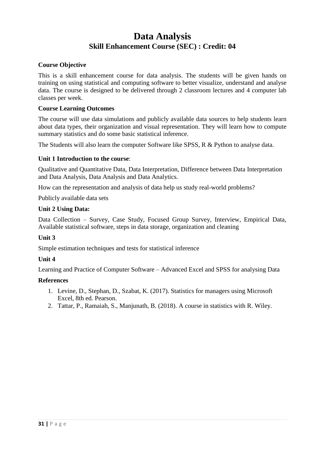# **Data Analysis Skill Enhancement Course (SEC) : Credit: 04**

#### **Course Objective**

This is a skill enhancement course for data analysis. The students will be given hands on training on using statistical and computing software to better visualize, understand and analyse data. The course is designed to be delivered through 2 classroom lectures and 4 computer lab classes per week.

#### **Course Learning Outcomes**

The course will use data simulations and publicly available data sources to help students learn about data types, their organization and visual representation. They will learn how to compute summary statistics and do some basic statistical inference.

The Students will also learn the computer Software like SPSS, R & Python to analyse data.

#### **Unit 1 Introduction to the course**:

Qualitative and Quantitative Data, Data Interpretation, Difference between Data Interpretation and Data Analysis, Data Analysis and Data Analytics.

How can the representation and analysis of data help us study real-world problems?

Publicly available data sets

#### **Unit 2 Using Data:**

Data Collection – Survey, Case Study, Focused Group Survey, Interview, Empirical Data, Available statistical software, steps in data storage, organization and cleaning

#### **Unit 3**

Simple estimation techniques and tests for statistical inference

#### **Unit 4**

Learning and Practice of Computer Software – Advanced Excel and SPSS for analysing Data

- 1. Levine, D., Stephan, D., Szabat, K. (2017). Statistics for managers using Microsoft Excel, 8th ed. Pearson.
- 2. Tattar, P., Ramaiah, S., Manjunath, B. (2018). A course in statistics with R. Wiley.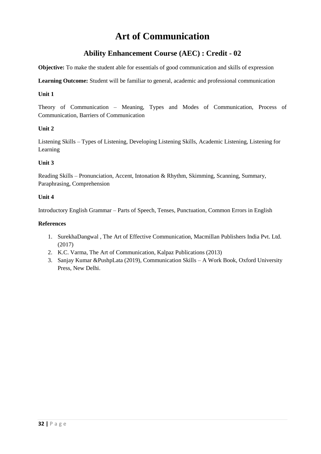# **Art of Communication**

### **Ability Enhancement Course (AEC) : Credit - 02**

**Objective:** To make the student able for essentials of good communication and skills of expression

**Learning Outcome:** Student will be familiar to general, academic and professional communication

#### **Unit 1**

Theory of Communication – Meaning, Types and Modes of Communication, Process of Communication, Barriers of Communication

#### **Unit 2**

Listening Skills – Types of Listening, Developing Listening Skills, Academic Listening, Listening for Learning

#### **Unit 3**

Reading Skills – Pronunciation, Accent, Intonation & Rhythm, Skimming, Scanning, Summary, Paraphrasing, Comprehension

#### **Unit 4**

Introductory English Grammar – Parts of Speech, Tenses, Punctuation, Common Errors in English

- 1. SurekhaDangwal , The Art of Effective Communication, Macmillan Publishers India Pvt. Ltd. (2017)
- 2. K.C. Varma, The Art of Communication, Kalpaz Publications (2013)
- 3. Sanjay Kumar &PushpLata (2019), Communication Skills A Work Book, Oxford University Press, New Delhi.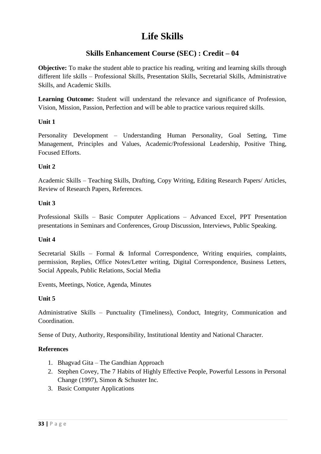# **Life Skills**

### **Skills Enhancement Course (SEC) : Credit – 04**

**Objective:** To make the student able to practice his reading, writing and learning skills through different life skills – Professional Skills, Presentation Skills, Secretarial Skills, Administrative Skills, and Academic Skills.

**Learning Outcome:** Student will understand the relevance and significance of Profession, Vision, Mission, Passion, Perfection and will be able to practice various required skills.

#### **Unit 1**

Personality Development – Understanding Human Personality, Goal Setting, Time Management, Principles and Values, Academic/Professional Leadership, Positive Thing, Focused Efforts.

#### **Unit 2**

Academic Skills – Teaching Skills, Drafting, Copy Writing, Editing Research Papers/ Articles, Review of Research Papers, References.

#### **Unit 3**

Professional Skills – Basic Computer Applications – Advanced Excel, PPT Presentation presentations in Seminars and Conferences, Group Discussion, Interviews, Public Speaking.

#### **Unit 4**

Secretarial Skills – Formal & Informal Correspondence, Writing enquiries, complaints, permission, Replies, Office Notes/Letter writing, Digital Correspondence, Business Letters, Social Appeals, Public Relations, Social Media

Events, Meetings, Notice, Agenda, Minutes

#### **Unit 5**

Administrative Skills – Punctuality (Timeliness), Conduct, Integrity, Communication and Coordination.

Sense of Duty, Authority, Responsibility, Institutional Identity and National Character.

- 1. Bhagvad Gita The Gandhian Approach
- 2. Stephen Covey, The 7 Habits of Highly Effective People, Powerful Lessons in Personal Change (1997), Simon & Schuster Inc.
- 3. Basic Computer Applications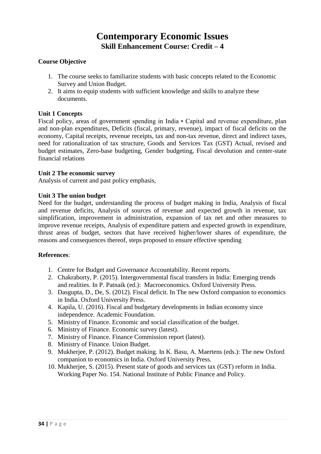## **Contemporary Economic Issues Skill Enhancement Course: Credit – 4**

#### **Course Objective**

- 1. The course seeks to familiarize students with basic concepts related to the Economic Survey and Union Budget.
- 2. It aims to equip students with sufficient knowledge and skills to analyze these documents.

#### **Unit 1 Concepts**

Fiscal policy, areas of government spending in India • Capital and revenue expenditure, plan and non-plan expenditures, Deficits (fiscal, primary, revenue), impact of fiscal deficits on the economy, Capital receipts, revenue receipts, tax and non-tax revenue, direct and indirect taxes, need for rationalization of tax structure, Goods and Services Tax (GST) Actual, revised and budget estimates, Zero-base budgeting, Gender budgeting, Fiscal devolution and center-state financial relations

#### **Unit 2 The economic survey**

Analysis of current and past policy emphasis,

#### **Unit 3 The union budget**

Need for the budget, understanding the process of budget making in India, Analysis of fiscal and revenue deficits, Analysis of sources of revenue and expected growth in revenue, tax simplification, improvement in administration, expansion of tax net and other measures to improve revenue receipts, Analysis of expenditure pattern and expected growth in expenditure, thrust areas of budget, sectors that have received higher/lower shares of expenditure, the reasons and consequences thereof, steps proposed to ensure effective spending

- 1. Centre for Budget and Governance Accountability. Recent reports.
- 2. Chakraborty, P. (2015). Intergovernmental fiscal transfers in India: Emerging trends and realities. In P. Patnaik (ed.): Macroeconomics. Oxford University Press.
- 3. Dasgupta, D., De, S. (2012). Fiscal deficit. In The new Oxford companion to economics in India. Oxford University Press.
- 4. Kapila, U. (2016). Fiscal and budgetary developments in Indian economy since independence. Academic Foundation.
- 5. Ministry of Finance. Economic and social classification of the budget.
- 6. Ministry of Finance. Economic survey (latest).
- 7. Ministry of Finance. Finance Commission report (latest).
- 8. Ministry of Finance. Union Budget.
- 9. Mukherjee, P. (2012). Budget making. In K. Basu, A. Maertens (eds.): The new Oxford companion to economics in India. Oxford University Press.
- 10. Mukherjee, S. (2015). Present state of goods and services tax (GST) reform in India. Working Paper No. 154. National Institute of Public Finance and Policy.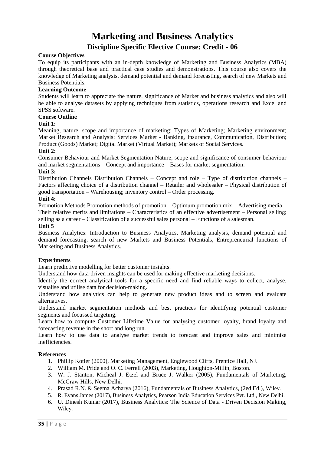# **Marketing and Business Analytics**

#### **Discipline Specific Elective Course: Credit - 06**

#### **Course Objectives**

To equip its participants with an in-depth knowledge of Marketing and Business Analytics (MBA) through theoretical base and practical case studies and demonstrations. This course also covers the knowledge of Marketing analysis, demand potential and demand forecasting, search of new Markets and Business Potentials.

#### **Learning Outcome**

Students will learn to appreciate the nature, significance of Market and business analytics and also will be able to analyse datasets by applying techniques from statistics, operations research and Excel and SPSS software.

#### **Course Outline**

#### **Unit 1:**

Meaning, nature, scope and importance of marketing; Types of Marketing; Marketing environment; Market Research and Analysis: Services Market - Banking, Insurance, Communication, Distribution; Product (Goods) Market; Digital Market (Virtual Market); Markets of Social Services.

#### **Unit 2:**

Consumer Behaviour and Market Segmentation Nature, scope and significance of consumer behaviour and market segmentations – Concept and importance – Bases for market segmentation.

#### **Unit 3:**

Distribution Channels Distribution Channels – Concept and role – Type of distribution channels – Factors affecting choice of a distribution channel – Retailer and wholesaler – Physical distribution of good transportation – Warehousing; inventory control – Order processing.

#### **Unit 4:**

Promotion Methods Promotion methods of promotion – Optimum promotion mix – Advertising media – Their relative merits and limitations – Characteristics of an effective advertisement – Personal selling; selling as a career – Classification of a successful sales personal – Functions of a salesman.

#### **Unit 5**

Business Analytics: Introduction to Business Analytics, Marketing analysis, demand potential and demand forecasting, search of new Markets and Business Potentials, Entrepreneurial functions of Marketing and Business Analytics.

#### **Experiments**

Learn predictive modelling for better customer insights.

Understand how data-driven insights can be used for making effective marketing decisions.

Identify the correct analytical tools for a specific need and find reliable ways to collect, analyse, visualise and utilise data for decision-making.

Understand how analytics can help to generate new product ideas and to screen and evaluate alternatives.

Understand market segmentation methods and best practices for identifying potential customer segments and focussed targeting.

Learn how to compute Customer Lifetime Value for analysing customer loyalty, brand loyalty and forecasting revenue in the short and long run.

Learn how to use data to analyse market trends to forecast and improve sales and minimise inefficiencies.

- 1. Phillip Kotler (2000), Marketing Management, Englewood Cliffs, Prentice Hall, NJ.
- 2. William M. Pride and O. C. Ferrell (2003), Marketing, Houghton-Millin, Boston.
- 3. W. J. Stanton, Micheal J. Etzel and Bruce J. Walker (2005), Fundamentals of Marketing, McGraw Hills, New Delhi.
- 4. Prasad R.N. & Seema Acharya (2016), Fundamentals of Business Analytics, (2ed Ed.), Wiley.
- 5. R. Evans James (2017), Business Analytics, Pearson India Education Services Pvt. Ltd., New Delhi.
- 6. U. Dinesh Kumar (2017), Business Analytics: The Science of Data Driven Decision Making, Wiley.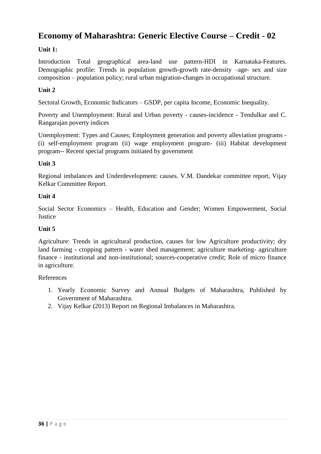### **Economy of Maharashtra: Generic Elective Course – Credit - 02**

#### **Unit 1:**

Introduction Total geographical area-land use pattern-HDI in Karnataka-Features. Demographic profile: Trends in population growth-growth rate-density –age- sex and size composition – population policy; rural urban migration-changes in occupational structure.

#### **Unit 2**

Sectoral Growth, Economic Indicators – GSDP, per capita Income, Economic Inequality.

Poverty and Unemployment: Rural and Urban poverty - causes-incidence - Tendulkar and C. Rangarajan poverty indices

Unemployment: Types and Causes; Employment generation and poverty alleviation programs - (i) self-employment program (ii) wage employment program- (iii) Habitat development program-- Recent special programs initiated by government

#### **Unit 3**

Regional imbalances and Underdevelopment: causes. V.M. Dandekar committee report, Vijay Kelkar Committee Report.

#### **Unit 4**

Social Sector Economics – Health, Education and Gender; Women Empowerment, Social **Justice** 

#### **Unit 5**

Agriculture: Trends in agricultural production, causes for low Agriculture productivity; dry land farming - cropping pattern - water shed management; agriculture marketing- agriculture finance - institutional and non-institutional; sources-cooperative credit; Role of micro finance in agriculture.

- 1. Yearly Economic Survey and Annual Budgets of Maharashtra, Published by Government of Maharashtra.
- 2. Vijay Kelkar (2013) Report on Regional Imbalances in Maharashtra.